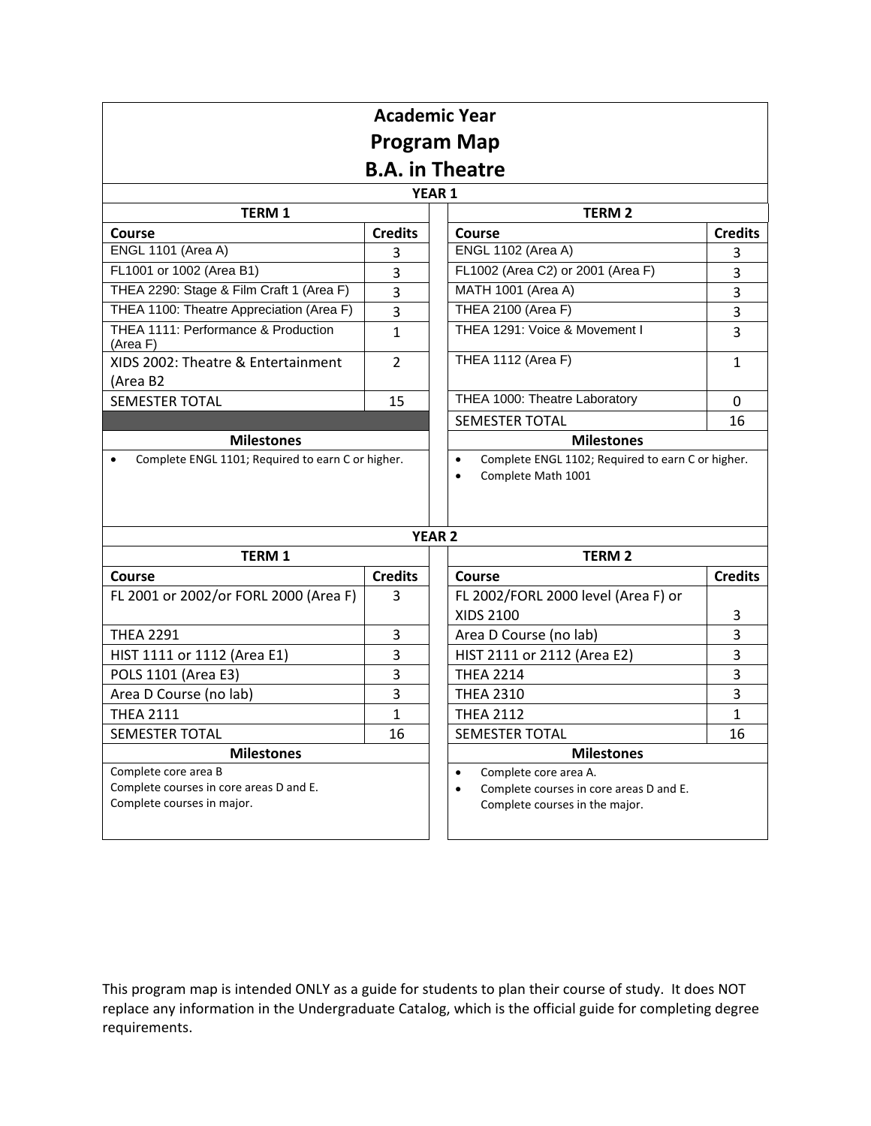| <b>Academic Year</b>                                                                          |                |                                                                                                                              |                |  |  |  |
|-----------------------------------------------------------------------------------------------|----------------|------------------------------------------------------------------------------------------------------------------------------|----------------|--|--|--|
|                                                                                               |                | <b>Program Map</b>                                                                                                           |                |  |  |  |
| <b>B.A.</b> in Theatre                                                                        |                |                                                                                                                              |                |  |  |  |
| <b>YEAR 1</b>                                                                                 |                |                                                                                                                              |                |  |  |  |
| TERM 1                                                                                        |                | <b>TERM 2</b>                                                                                                                |                |  |  |  |
| Course                                                                                        | <b>Credits</b> | <b>Course</b>                                                                                                                | <b>Credits</b> |  |  |  |
| <b>ENGL 1101 (Area A)</b>                                                                     | 3              | <b>ENGL 1102 (Area A)</b>                                                                                                    | 3              |  |  |  |
| FL1001 or 1002 (Area B1)                                                                      | 3              | FL1002 (Area C2) or 2001 (Area F)                                                                                            | 3              |  |  |  |
| THEA 2290: Stage & Film Craft 1 (Area F)                                                      | 3              | MATH 1001 (Area A)                                                                                                           | 3              |  |  |  |
| THEA 1100: Theatre Appreciation (Area F)                                                      | 3              | <b>THEA 2100 (Area F)</b>                                                                                                    | 3              |  |  |  |
| THEA 1111: Performance & Production<br>(Area F)                                               | $\mathbf{1}$   | THEA 1291: Voice & Movement I                                                                                                | 3              |  |  |  |
| XIDS 2002: Theatre & Entertainment<br>(Area B2                                                | $\mathcal{P}$  | <b>THEA 1112 (Area F)</b>                                                                                                    | $\mathbf{1}$   |  |  |  |
| <b>SEMESTER TOTAL</b>                                                                         | 15             | THEA 1000: Theatre Laboratory                                                                                                | 0              |  |  |  |
|                                                                                               |                | <b>SEMESTER TOTAL</b>                                                                                                        | 16             |  |  |  |
| <b>Milestones</b>                                                                             |                | <b>Milestones</b>                                                                                                            |                |  |  |  |
| Complete ENGL 1101; Required to earn C or higher.                                             |                | Complete ENGL 1102; Required to earn C or higher.<br>$\bullet$<br>Complete Math 1001<br>$\bullet$                            |                |  |  |  |
|                                                                                               |                | <b>YEAR 2</b>                                                                                                                |                |  |  |  |
| TERM 1                                                                                        |                | <b>TERM2</b>                                                                                                                 |                |  |  |  |
| <b>Course</b>                                                                                 | <b>Credits</b> | Course                                                                                                                       | <b>Credits</b> |  |  |  |
| FL 2001 or 2002/or FORL 2000 (Area F)                                                         | 3              | FL 2002/FORL 2000 level (Area F) or<br>XIDS 2100                                                                             | 3              |  |  |  |
| <b>THEA 2291</b>                                                                              | 3              | Area D Course (no lab)                                                                                                       | 3              |  |  |  |
| HIST 1111 or 1112 (Area E1)                                                                   | 3              | HIST 2111 or 2112 (Area E2)                                                                                                  | 3              |  |  |  |
| POLS 1101 (Area E3)                                                                           | 3              | <b>THEA 2214</b>                                                                                                             | 3              |  |  |  |
| Area D Course (no lab)                                                                        | 3              | <b>THEA 2310</b>                                                                                                             | 3              |  |  |  |
| <b>THEA 2111</b>                                                                              | 1              | <b>THEA 2112</b>                                                                                                             | 1              |  |  |  |
| <b>SEMESTER TOTAL</b>                                                                         | 16             | <b>SEMESTER TOTAL</b>                                                                                                        | 16             |  |  |  |
| <b>Milestones</b>                                                                             |                | <b>Milestones</b>                                                                                                            |                |  |  |  |
| Complete core area B<br>Complete courses in core areas D and E.<br>Complete courses in major. |                | Complete core area A.<br>$\bullet$<br>Complete courses in core areas D and E.<br>$\bullet$<br>Complete courses in the major. |                |  |  |  |

This program map is intended ONLY as a guide for students to plan their course of study. It does NOT replace any information in the Undergraduate Catalog, which is the official guide for completing degree requirements.